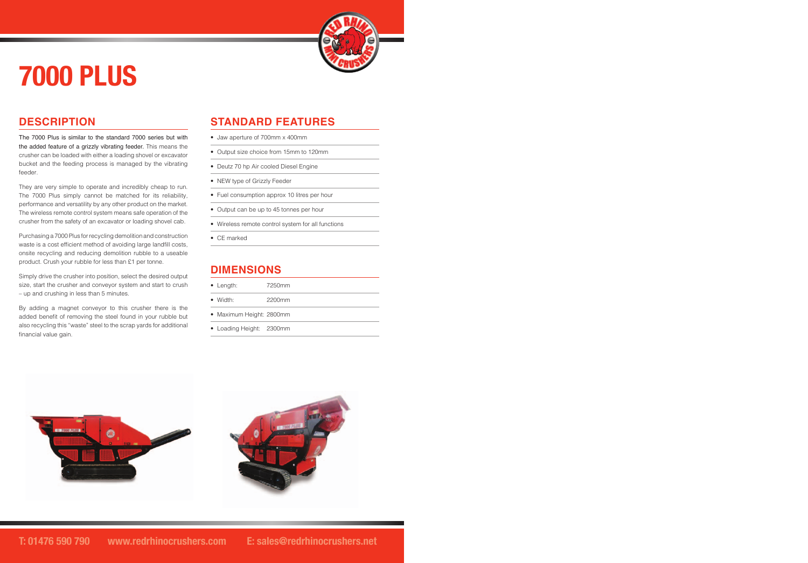# **7000 PLUS**

## **DESCRIPTION**

The 7000 Plus is similar to the standard 7000 series but with the added feature of a grizzly vibrating feeder. This means the crusher can be loaded with either a loading shovel or excavator bucket and the feeding process is managed by the vibrating feeder.

They are very simple to operate and incredibly cheap to run. The 7000 Plus simply cannot be matched for its reliability, performance and versatility by any other product on the market. The wireless remote control system means safe operation of the crusher from the safety of an excavator or loading shovel cab.

Purchasing a 7000 Plus for recycling demolition and construction waste is a cost efficient method of avoiding large landfill costs, onsite recycling and reducing demolition rubble to a useable product. Crush your rubble for less than £1 per tonne.

Simply drive the crusher into position, select the desired output size, start the crusher and conveyor system and start to crush – up and crushing in less than 5 minutes.

By adding a magnet conveyor to this crusher there is the added benefit of removing the steel found in your rubble but also recycling this "waste" steel to the scrap yards for additional financial value gain.

### **STANDARD FEATURES**

- Jaw aperture of 700mm x 400mm
- Output size choice from 15mm to 120mm
- Deutz 70 hp Air cooled Diesel Engine
- NEW type of Grizzly Feeder
- Fuel consumption approx 10 litres per hour
- Output can be up to 45 tonnes per hour
- Wireless remote control system for all functions
- CE marked

#### **DIMENSIONS**

| $\bullet$ Length:        | 7250mm |
|--------------------------|--------|
| $\bullet$ Width:         | 2200mm |
| • Maximum Height: 2800mm |        |